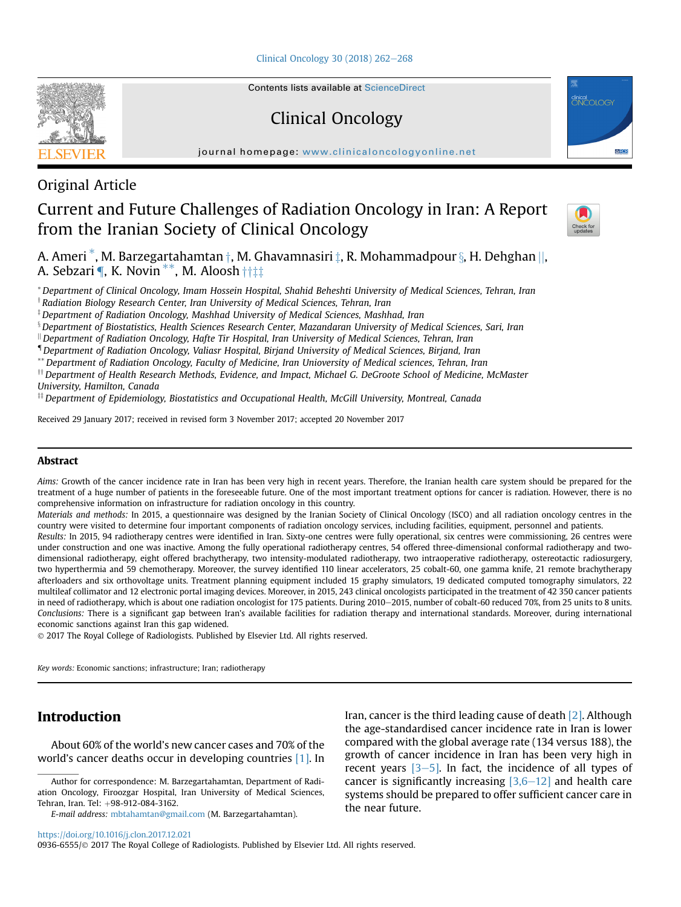[Clinical Oncology 30 \(2018\) 262](https://doi.org/10.1016/j.clon.2017.12.021)-[268](https://doi.org/10.1016/j.clon.2017.12.021)



Contents lists available at ScienceDirect

Clinical Oncology

journal homepage: [www.clinicaloncologyonline.net](http://www.clinicaloncologyonline.net)



## Original Article

# Current and Future Challenges of Radiation Oncology in Iran: A Report from the Iranian Society of Clinical Oncology



A. Ameri  $^*$ , M. Barzegartahamtan  $\dagger$ , M. Ghavamnasiri  $\ddagger$ , R. Mohammadpour  $\S$ , H. Dehghan ||, A. Sebzari **[, K. Novin \*\*, M. Aloosh**  $\dagger \dagger \ddagger$ 

\*Department of Clinical Oncology, Imam Hossein Hospital, Shahid Beheshti University of Medical Sciences, Tehran, Iran

 $^\dagger$ Radiation Biology Research Center, Iran University of Medical Sciences, Tehran, Iran

 $^{\ddagger}$  Department of Radiation Oncology, Mashhad University of Medical Sciences, Mashhad, Iran

 $\,{}^{\S}$ Department of Biostatistics, Health Sciences Research Center, Mazandaran University of Medical Sciences, Sari, Iran

 $\parallel$ Department of Radiation Oncology, Hafte Tir Hospital, Iran University of Medical Sciences, Tehran, Iran

{Department of Radiation Oncology, Valiasr Hospital, Birjand University of Medical Sciences, Birjand, Iran

\*\*Department of Radiation Oncology, Faculty of Medicine, Iran Unioversity of Medical sciences, Tehran, Iran

<sup>††</sup> Department of Health Research Methods, Evidence, and Impact, Michael G. DeGroote School of Medicine, McMaster University, Hamilton, Canada

 $\stackrel{\text{\tiny{11}}}{=}$  Department of Epidemiology, Biostatistics and Occupational Health, McGill University, Montreal, Canada

Received 29 January 2017; received in revised form 3 November 2017; accepted 20 November 2017

#### Abstract

Aims: Growth of the cancer incidence rate in Iran has been very high in recent years. Therefore, the Iranian health care system should be prepared for the treatment of a huge number of patients in the foreseeable future. One of the most important treatment options for cancer is radiation. However, there is no comprehensive information on infrastructure for radiation oncology in this country.

Materials and methods: In 2015, a questionnaire was designed by the Iranian Society of Clinical Oncology (ISCO) and all radiation oncology centres in the country were visited to determine four important components of radiation oncology services, including facilities, equipment, personnel and patients.

Results: In 2015, 94 radiotherapy centres were identified in Iran. Sixty-one centres were fully operational, six centres were commissioning, 26 centres were under construction and one was inactive. Among the fully operational radiotherapy centres, 54 offered three-dimensional conformal radiotherapy and twodimensional radiotherapy, eight offered brachytherapy, two intensity-modulated radiotherapy, two intraoperative radiotherapy, ostereotactic radiosurgery, two hyperthermia and 59 chemotherapy. Moreover, the survey identified 110 linear accelerators, 25 cobalt-60, one gamma knife, 21 remote brachytherapy afterloaders and six orthovoltage units. Treatment planning equipment included 15 graphy simulators, 19 dedicated computed tomography simulators, 22 multileaf collimator and 12 electronic portal imaging devices. Moreover, in 2015, 243 clinical oncologists participated in the treatment of 42 350 cancer patients in need of radiotherapy, which is about one radiation oncologist for 175 patients. During 2010-2015, number of cobalt-60 reduced 70%, from 25 units to 8 units. Conclusions: There is a significant gap between Iran's available facilities for radiation therapy and international standards. Moreover, during international economic sanctions against Iran this gap widened.

2017 The Royal College of Radiologists. Published by Elsevier Ltd. All rights reserved.

Key words: Economic sanctions; infrastructure; Iran; radiotherapy

## Introduction

About 60% of the world's new cancer cases and 70% of the world's cancer deaths occur in developing countries [\[1\]](#page-6-0). In

E-mail address: [mbtahamtan@gmail.com](mailto:mbtahamtan@gmail.com) (M. Barzegartahamtan).

Iran, cancer is the third leading cause of death [\[2\]](#page-6-0). Although the age-standardised cancer incidence rate in Iran is lower compared with the global average rate (134 versus 188), the growth of cancer incidence in Iran has been very high in recent years  $[3-5]$  $[3-5]$  $[3-5]$ . In fact, the incidence of all types of cancer is significantly increasing  $[3,6-12]$  $[3,6-12]$  $[3,6-12]$  and health care systems should be prepared to offer sufficient cancer care in the near future.

<https://doi.org/10.1016/j.clon.2017.12.021>

0936-6555/© 2017 The Royal College of Radiologists. Published by Elsevier Ltd. All rights reserved.

Author for correspondence: M. Barzegartahamtan, Department of Radiation Oncology, Firoozgar Hospital, Iran University of Medical Sciences, Tehran, Iran. Tel: +98-912-084-3162.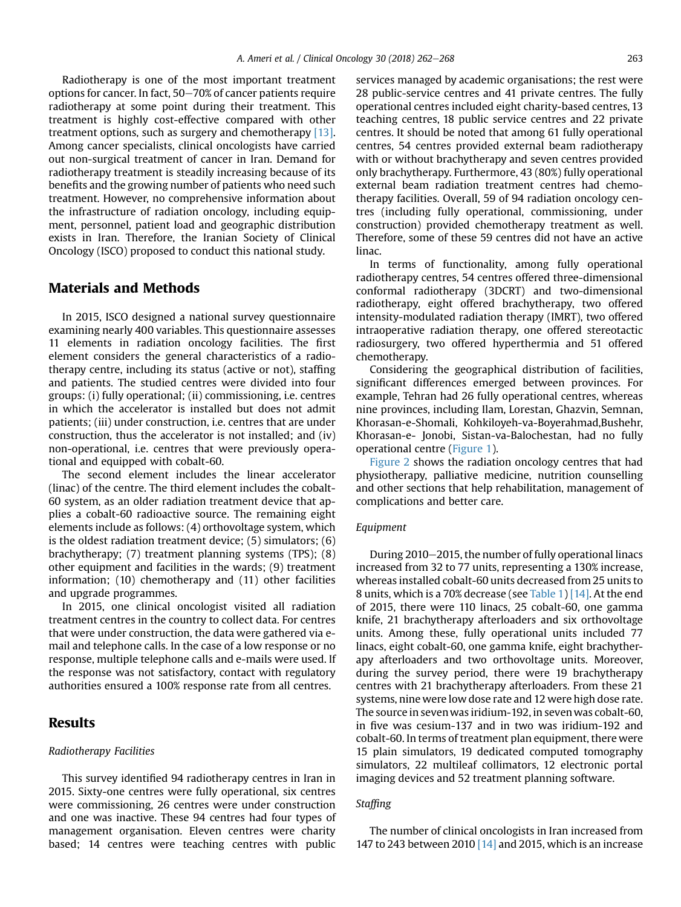Radiotherapy is one of the most important treatment options for cancer. In fact,  $50-70\%$  of cancer patients require radiotherapy at some point during their treatment. This treatment is highly cost-effective compared with other treatment options, such as surgery and chemotherapy [\[13\]](#page-6-0). Among cancer specialists, clinical oncologists have carried out non-surgical treatment of cancer in Iran. Demand for radiotherapy treatment is steadily increasing because of its benefits and the growing number of patients who need such treatment. However, no comprehensive information about the infrastructure of radiation oncology, including equipment, personnel, patient load and geographic distribution exists in Iran. Therefore, the Iranian Society of Clinical Oncology (ISCO) proposed to conduct this national study.

## Materials and Methods

In 2015, ISCO designed a national survey questionnaire examining nearly 400 variables. This questionnaire assesses 11 elements in radiation oncology facilities. The first element considers the general characteristics of a radiotherapy centre, including its status (active or not), staffing and patients. The studied centres were divided into four groups: (i) fully operational; (ii) commissioning, i.e. centres in which the accelerator is installed but does not admit patients; (iii) under construction, i.e. centres that are under construction, thus the accelerator is not installed; and (iv) non-operational, i.e. centres that were previously operational and equipped with cobalt-60.

The second element includes the linear accelerator (linac) of the centre. The third element includes the cobalt-60 system, as an older radiation treatment device that applies a cobalt-60 radioactive source. The remaining eight elements include as follows: (4) orthovoltage system, which is the oldest radiation treatment device; (5) simulators; (6) brachytherapy; (7) treatment planning systems (TPS); (8) other equipment and facilities in the wards; (9) treatment information; (10) chemotherapy and (11) other facilities and upgrade programmes.

In 2015, one clinical oncologist visited all radiation treatment centres in the country to collect data. For centres that were under construction, the data were gathered via email and telephone calls. In the case of a low response or no response, multiple telephone calls and e-mails were used. If the response was not satisfactory, contact with regulatory authorities ensured a 100% response rate from all centres.

#### Results

#### Radiotherapy Facilities

This survey identified 94 radiotherapy centres in Iran in 2015. Sixty-one centres were fully operational, six centres were commissioning, 26 centres were under construction and one was inactive. These 94 centres had four types of management organisation. Eleven centres were charity based; 14 centres were teaching centres with public

services managed by academic organisations; the rest were 28 public-service centres and 41 private centres. The fully operational centres included eight charity-based centres, 13 teaching centres, 18 public service centres and 22 private centres. It should be noted that among 61 fully operational centres, 54 centres provided external beam radiotherapy with or without brachytherapy and seven centres provided only brachytherapy. Furthermore, 43 (80%) fully operational external beam radiation treatment centres had chemotherapy facilities. Overall, 59 of 94 radiation oncology centres (including fully operational, commissioning, under construction) provided chemotherapy treatment as well. Therefore, some of these 59 centres did not have an active linac.

In terms of functionality, among fully operational radiotherapy centres, 54 centres offered three-dimensional conformal radiotherapy (3DCRT) and two-dimensional radiotherapy, eight offered brachytherapy, two offered intensity-modulated radiation therapy (IMRT), two offered intraoperative radiation therapy, one offered stereotactic radiosurgery, two offered hyperthermia and 51 offered chemotherapy.

Considering the geographical distribution of facilities, significant differences emerged between provinces. For example, Tehran had 26 fully operational centres, whereas nine provinces, including Ilam, Lorestan, Ghazvin, Semnan, Khorasan-e-Shomali, Kohkiloyeh-va-Boyerahmad,Bushehr, Khorasan-e- Jonobi, Sistan-va-Balochestan, had no fully operational centre ([Figure 1\)](#page-2-0).

[Figure 2](#page-2-0) shows the radiation oncology centres that had physiotherapy, palliative medicine, nutrition counselling and other sections that help rehabilitation, management of complications and better care.

#### Equipment

During 2010–2015, the number of fully operational linacs increased from 32 to 77 units, representing a 130% increase, whereas installed cobalt-60 units decreased from 25 units to 8 units, which is a 70% decrease (see [Table 1](#page-3-0)) [\[14\]](#page-6-0). At the end of 2015, there were 110 linacs, 25 cobalt-60, one gamma knife, 21 brachytherapy afterloaders and six orthovoltage units. Among these, fully operational units included 77 linacs, eight cobalt-60, one gamma knife, eight brachytherapy afterloaders and two orthovoltage units. Moreover, during the survey period, there were 19 brachytherapy centres with 21 brachytherapy afterloaders. From these 21 systems, nine were low dose rate and 12 were high dose rate. The source in sevenwas iridium-192, in sevenwas cobalt-60, in five was cesium-137 and in two was iridium-192 and cobalt-60. In terms of treatment plan equipment, there were 15 plain simulators, 19 dedicated computed tomography simulators, 22 multileaf collimators, 12 electronic portal imaging devices and 52 treatment planning software.

#### Staffing

The number of clinical oncologists in Iran increased from 147 to 243 between 2010  $[14]$  and 2015, which is an increase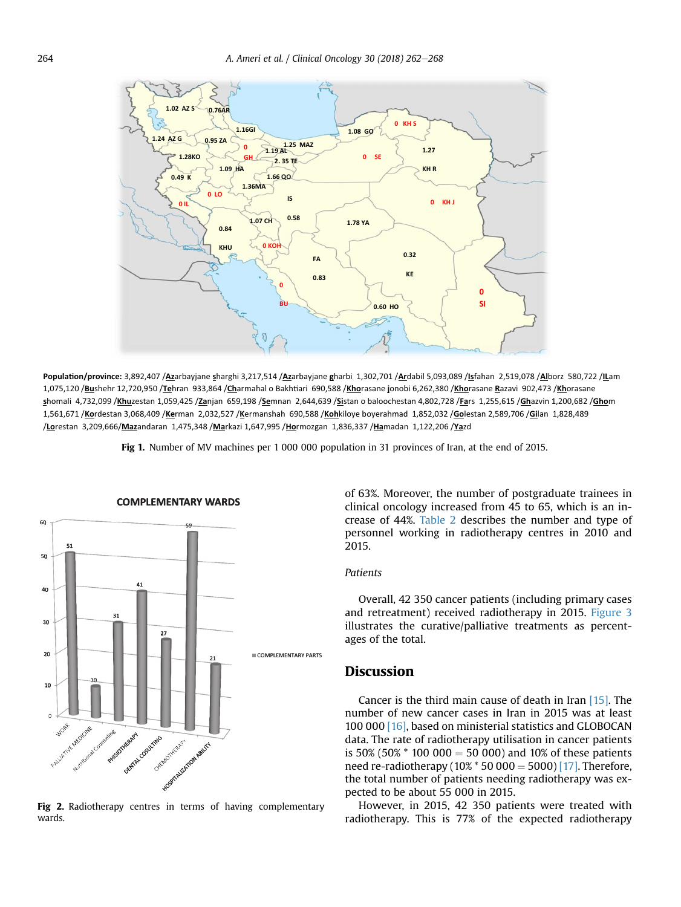<span id="page-2-0"></span>

**Popula-on/province:** 3,892,407 /**Az**arbayjane **s**harghi 3,217,514 /**Az**arbayjane **g**harbi 1,302,701 /**Ar**dabil 5,093,089 /**Is**fahan 2,519,078 /**Al**borz 580,722 /**IL**am 1,075,120 /<mark>Bu</mark>shehr 12,720,950 /<mark>Te</mark>hran 933,864 /Charmahal o Bakhtiari 690,588 /Khorasane jonobi 6,262,380 /Khorasane <u>R</u>azavi 902,473 /Khorasane **s**homali 4,732,099 /**Khu**zestan 1,059,425 /**Za**njan 659,198 /**Se**mnan 2,644,639 /**Si**stan o baloochestan 4,802,728 /**Fa**rs 1,255,615 /**Gh**azvin 1,200,682 /**Gho**m 1,561,671 /**Ko**rdestan 3,068,409 /**Ke**rman 2,032,527 /**K**ermanshah 690,588 /**Koh**kiloye boyerahmad 1,852,032 /**Go**lestan 2,589,706 /**Gi**lan 1,828,489 /**Lo**restan 3,209,666/**Maz**andaran 1,475,348 /**Ma**rkazi 1,647,995 /**Ho**rmozgan 1,836,337 /**Ha**madan 1,122,206 /**Ya**zd

Fig 1. Number of MV machines per 1 000 000 population in 31 provinces of Iran, at the end of 2015.



**COMPLEMENTARY WARDS**

Fig 2. Radiotherapy centres in terms of having complementary wards.

of 63%. Moreover, the number of postgraduate trainees in clinical oncology increased from 45 to 65, which is an increase of 44%. [Table 2](#page-3-0) describes the number and type of personnel working in radiotherapy centres in 2010 and 2015.

### Patients

Overall, 42 350 cancer patients (including primary cases and retreatment) received radiotherapy in 2015. [Figure 3](#page-3-0) illustrates the curative/palliative treatments as percentages of the total.

## **Discussion**

Cancer is the third main cause of death in Iran [\[15\]](#page-6-0). The number of new cancer cases in Iran in 2015 was at least 100 000 [\[16\]](#page-6-0), based on ministerial statistics and GLOBOCAN data. The rate of radiotherapy utilisation in cancer patients is 50% (50%  $*$  100 000 = 50 000) and 10% of these patients need re-radiotherapy ( $10\%$  \* 50 000 = 5000) [\[17\].](#page-6-0) Therefore, the total number of patients needing radiotherapy was expected to be about 55 000 in 2015.

However, in 2015, 42 350 patients were treated with radiotherapy. This is 77% of the expected radiotherapy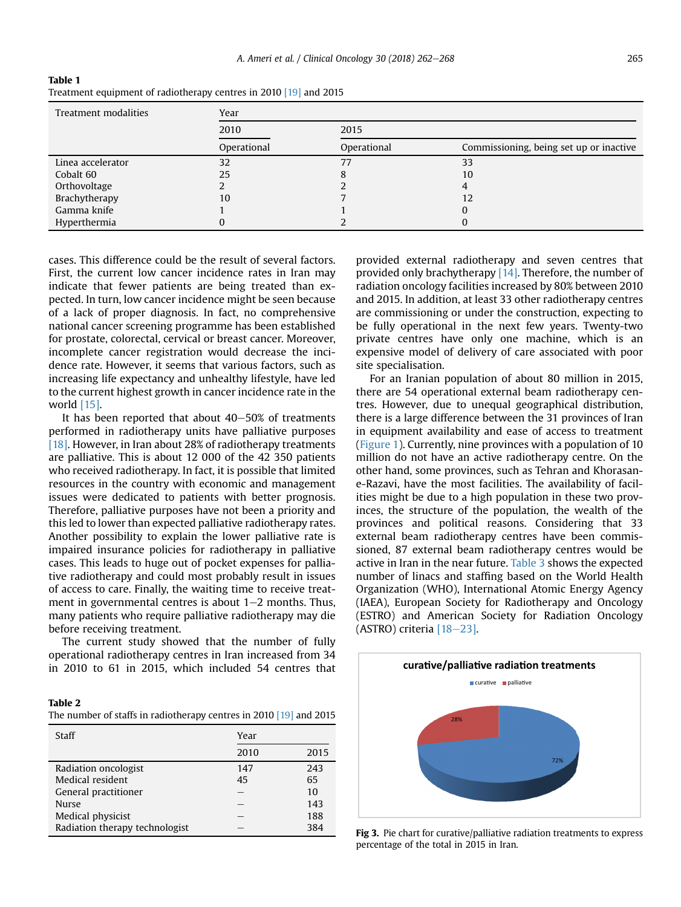| Treatment modalities | Year        |             |                                         |  |  |
|----------------------|-------------|-------------|-----------------------------------------|--|--|
|                      | 2010        | 2015        |                                         |  |  |
|                      | Operational | Operational | Commissioning, being set up or inactive |  |  |
| Linea accelerator    | 32          | 77          | 33                                      |  |  |
| Cobalt 60            | 25          |             | 10                                      |  |  |
| Orthovoltage         |             |             |                                         |  |  |
| Brachytherapy        | 10          |             |                                         |  |  |
| Gamma knife          |             |             |                                         |  |  |
| Hyperthermia         |             |             |                                         |  |  |

<span id="page-3-0"></span>Table 1 Treatment equipment of radiotherapy centres in 2010 [\[19\]](#page-6-0) and 2015

cases. This difference could be the result of several factors. First, the current low cancer incidence rates in Iran may indicate that fewer patients are being treated than expected. In turn, low cancer incidence might be seen because of a lack of proper diagnosis. In fact, no comprehensive national cancer screening programme has been established for prostate, colorectal, cervical or breast cancer. Moreover, incomplete cancer registration would decrease the incidence rate. However, it seems that various factors, such as increasing life expectancy and unhealthy lifestyle, have led to the current highest growth in cancer incidence rate in the world [\[15\]](#page-6-0).

It has been reported that about  $40-50\%$  of treatments performed in radiotherapy units have palliative purposes [\[18\]](#page-6-0). However, in Iran about 28% of radiotherapy treatments are palliative. This is about 12 000 of the 42 350 patients who received radiotherapy. In fact, it is possible that limited resources in the country with economic and management issues were dedicated to patients with better prognosis. Therefore, palliative purposes have not been a priority and this led to lower than expected palliative radiotherapy rates. Another possibility to explain the lower palliative rate is impaired insurance policies for radiotherapy in palliative cases. This leads to huge out of pocket expenses for palliative radiotherapy and could most probably result in issues of access to care. Finally, the waiting time to receive treatment in governmental centres is about  $1-2$  months. Thus, many patients who require palliative radiotherapy may die before receiving treatment.

The current study showed that the number of fully operational radiotherapy centres in Iran increased from 34 in 2010 to 61 in 2015, which included 54 centres that

| Table 2                                                            |  |  |
|--------------------------------------------------------------------|--|--|
| The number of staffs in radiotherapy centres in 2010 [19] and 2015 |  |  |

| Staff                          | Year |      |  |  |
|--------------------------------|------|------|--|--|
|                                | 2010 | 2015 |  |  |
| Radiation oncologist           | 147  | 243  |  |  |
| Medical resident               | 45   | 65   |  |  |
| General practitioner           |      | 10   |  |  |
| <b>Nurse</b>                   |      | 143  |  |  |
| Medical physicist              |      | 188  |  |  |
| Radiation therapy technologist |      | 384  |  |  |

provided external radiotherapy and seven centres that provided only brachytherapy [\[14\].](#page-6-0) Therefore, the number of radiation oncology facilities increased by 80% between 2010 and 2015. In addition, at least 33 other radiotherapy centres are commissioning or under the construction, expecting to be fully operational in the next few years. Twenty-two private centres have only one machine, which is an expensive model of delivery of care associated with poor site specialisation.

For an Iranian population of about 80 million in 2015, there are 54 operational external beam radiotherapy centres. However, due to unequal geographical distribution, there is a large difference between the 31 provinces of Iran in equipment availability and ease of access to treatment ([Figure 1\)](#page-2-0). Currently, nine provinces with a population of 10 million do not have an active radiotherapy centre. On the other hand, some provinces, such as Tehran and Khorasane-Razavi, have the most facilities. The availability of facilities might be due to a high population in these two provinces, the structure of the population, the wealth of the provinces and political reasons. Considering that 33 external beam radiotherapy centres have been commissioned, 87 external beam radiotherapy centres would be active in Iran in the near future. [Table 3](#page-4-0) shows the expected number of linacs and staffing based on the World Health Organization (WHO), International Atomic Energy Agency (IAEA), European Society for Radiotherapy and Oncology (ESTRO) and American Society for Radiation Oncology (ASTRO) criteria  $[18-23]$  $[18-23]$ .



Fig 3. Pie chart for curative/palliative radiation treatments to express percentage of the total in 2015 in Iran.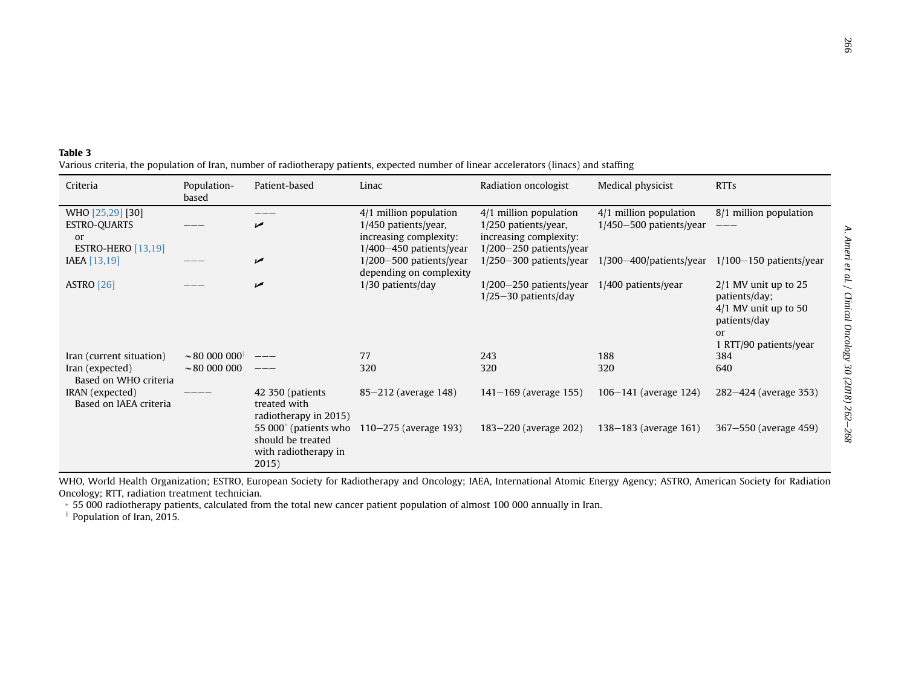| lation   |  |  |  |
|----------|--|--|--|
|          |  |  |  |
|          |  |  |  |
|          |  |  |  |
| nts/year |  |  |  |
| 025      |  |  |  |
|          |  |  |  |
| 0.50     |  |  |  |
|          |  |  |  |
|          |  |  |  |
| s/year   |  |  |  |
|          |  |  |  |
|          |  |  |  |
| (e 353)  |  |  |  |
|          |  |  |  |
| e 459)   |  |  |  |
|          |  |  |  |

A. Ameri et al. / Clinical Oncology 30 (2018) 262

A. Ameri et al. / Clinical Oncology 30 (2018) 262-268

#### <span id="page-4-0"></span>Table 3Various criteria, the population of Iran, number of radiotherapy patients, expected number of linear accelerators (linacs) and staffing

| Criteria                                                                              | Population-<br>based           | Patient-based                                                                           | Linac                                                                                                       | Radiation oncologist                                                                                      | Medical physicist                                     | <b>RTTs</b>                                                                                                       |
|---------------------------------------------------------------------------------------|--------------------------------|-----------------------------------------------------------------------------------------|-------------------------------------------------------------------------------------------------------------|-----------------------------------------------------------------------------------------------------------|-------------------------------------------------------|-------------------------------------------------------------------------------------------------------------------|
| WHO [25,29] [30]<br><b>ESTRO-QUARTS</b><br><sub>or</sub><br><b>ESTRO-HERO</b> [13,19] |                                | مما                                                                                     | $4/1$ million population<br>$1/450$ patients/year,<br>increasing complexity:<br>$1/400 - 450$ patients/year | 4/1 million population<br>$1/250$ patients/year,<br>increasing complexity:<br>$1/200 - 250$ patients/year | 4/1 million population<br>$1/450 - 500$ patients/year | 8/1 million population<br>———                                                                                     |
| IAEA [13,19]                                                                          |                                | $\overline{v}$                                                                          | $1/200 - 500$ patients/year<br>depending on complexity                                                      | $1/250 - 300$ patients/year                                                                               | $1/300 - 400$ / patients / year                       | $1/100-150$ patients/year                                                                                         |
| <b>ASTRO</b> [26]                                                                     |                                | مما                                                                                     | $1/30$ patients/day                                                                                         | $1/200-250$ patients/year<br>$1/25-30$ patients/day                                                       | $1/400$ patients/year                                 | $2/1$ MV unit up to 25<br>patients/day;<br>$4/1$ MV unit up to 50<br>patients/day<br>or<br>1 RTT/90 patients/year |
| Iran (current situation)                                                              | $\sim$ 80 000 000 <sup>†</sup> |                                                                                         | 77                                                                                                          | 243                                                                                                       | 188                                                   | 384                                                                                                               |
| Iran (expected)<br>Based on WHO criteria                                              | $\sim$ 80 000 000              | $--$                                                                                    | 320                                                                                                         | 320                                                                                                       | 320                                                   | 640                                                                                                               |
| IRAN (expected)<br>Based on IAEA criteria                                             |                                | 42 350 (patients)<br>treated with<br>radiotherapy in 2015)                              | 85–212 (average 148)                                                                                        | $141 - 169$ (average 155)                                                                                 | 106-141 (average 124)                                 | 282–424 (average 353)                                                                                             |
|                                                                                       |                                | 55 000 <sup>*</sup> (patients who<br>should be treated<br>with radiotherapy in<br>2015) | 110–275 (average 193)                                                                                       | 183–220 (average 202)                                                                                     | 138–183 (average 161)                                 | 367–550 (average 459)                                                                                             |

WHO, World Health Organization; ESTRO, European Society for Radiotherapy and Oncology; IAEA, International Atomic Energy Agency; ASTRO, American Society for Radiation Oncology; RTT, radiation treatment technician.

\* 55 000 radiotherapy patients, calculated from the total new cancer patient population of almost 100 000 annually in Iran.

 $\dagger$  Population of Iran, 2015.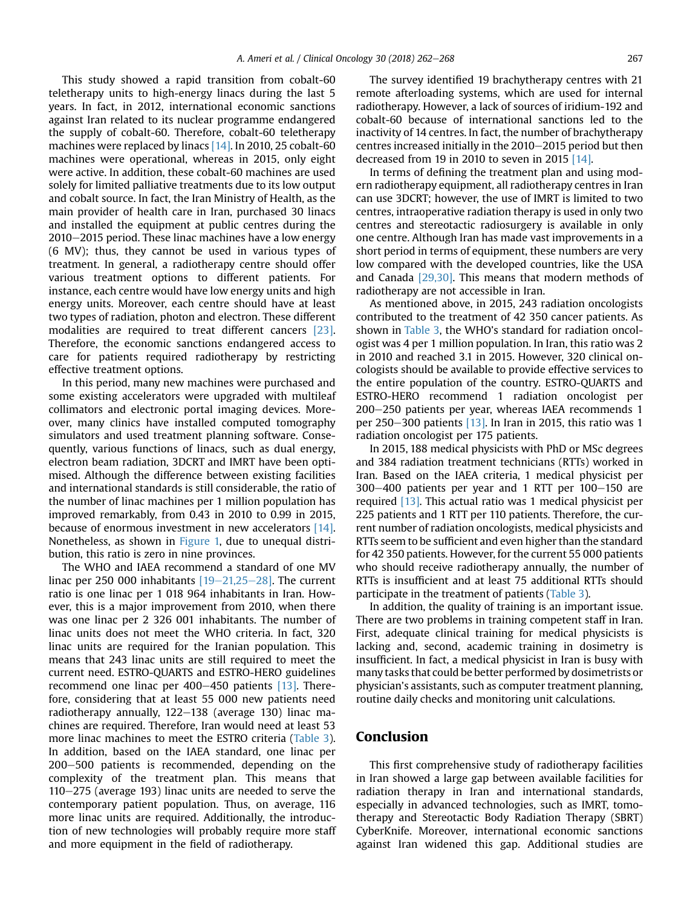This study showed a rapid transition from cobalt-60 teletherapy units to high-energy linacs during the last 5 years. In fact, in 2012, international economic sanctions against Iran related to its nuclear programme endangered the supply of cobalt-60. Therefore, cobalt-60 teletherapy machines were replaced by linacs [\[14\].](#page-6-0) In 2010, 25 cobalt-60 machines were operational, whereas in 2015, only eight were active. In addition, these cobalt-60 machines are used solely for limited palliative treatments due to its low output and cobalt source. In fact, the Iran Ministry of Health, as the main provider of health care in Iran, purchased 30 linacs and installed the equipment at public centres during the  $2010-2015$  period. These linac machines have a low energy (6 MV); thus, they cannot be used in various types of treatment. In general, a radiotherapy centre should offer various treatment options to different patients. For instance, each centre would have low energy units and high energy units. Moreover, each centre should have at least two types of radiation, photon and electron. These different modalities are required to treat different cancers [\[23\]](#page-6-0). Therefore, the economic sanctions endangered access to care for patients required radiotherapy by restricting effective treatment options.

In this period, many new machines were purchased and some existing accelerators were upgraded with multileaf collimators and electronic portal imaging devices. Moreover, many clinics have installed computed tomography simulators and used treatment planning software. Consequently, various functions of linacs, such as dual energy, electron beam radiation, 3DCRT and IMRT have been optimised. Although the difference between existing facilities and international standards is still considerable, the ratio of the number of linac machines per 1 million population has improved remarkably, from 0.43 in 2010 to 0.99 in 2015, because of enormous investment in new accelerators [\[14\]](#page-6-0). Nonetheless, as shown in [Figure 1,](#page-2-0) due to unequal distribution, this ratio is zero in nine provinces.

The WHO and IAEA recommend a standard of one MV linac per 250 000 inhabitants  $[19-21,25-28]$  $[19-21,25-28]$  $[19-21,25-28]$  $[19-21,25-28]$ . The current ratio is one linac per 1 018 964 inhabitants in Iran. However, this is a major improvement from 2010, when there was one linac per 2 326 001 inhabitants. The number of linac units does not meet the WHO criteria. In fact, 320 linac units are required for the Iranian population. This means that 243 linac units are still required to meet the current need. ESTRO-QUARTS and ESTRO-HERO guidelines recommend one linac per  $400-450$  patients [\[13\]](#page-6-0). Therefore, considering that at least 55 000 new patients need radiotherapy annually,  $122-138$  (average 130) linac machines are required. Therefore, Iran would need at least 53 more linac machines to meet the ESTRO criteria [\(Table 3](#page-4-0)). In addition, based on the IAEA standard, one linac per 200-500 patients is recommended, depending on the complexity of the treatment plan. This means that  $110-275$  (average 193) linac units are needed to serve the contemporary patient population. Thus, on average, 116 more linac units are required. Additionally, the introduction of new technologies will probably require more staff and more equipment in the field of radiotherapy.

The survey identified 19 brachytherapy centres with 21 remote afterloading systems, which are used for internal radiotherapy. However, a lack of sources of iridium-192 and cobalt-60 because of international sanctions led to the inactivity of 14 centres. In fact, the number of brachytherapy centres increased initially in the  $2010-2015$  period but then decreased from 19 in 2010 to seven in 2015 [\[14\]](#page-6-0).

In terms of defining the treatment plan and using modern radiotherapy equipment, all radiotherapy centres in Iran can use 3DCRT; however, the use of IMRT is limited to two centres, intraoperative radiation therapy is used in only two centres and stereotactic radiosurgery is available in only one centre. Although Iran has made vast improvements in a short period in terms of equipment, these numbers are very low compared with the developed countries, like the USA and Canada [\[29,30\]](#page-6-0). This means that modern methods of radiotherapy are not accessible in Iran.

As mentioned above, in 2015, 243 radiation oncologists contributed to the treatment of 42 350 cancer patients. As shown in [Table 3,](#page-4-0) the WHO's standard for radiation oncologist was 4 per 1 million population. In Iran, this ratio was 2 in 2010 and reached 3.1 in 2015. However, 320 clinical oncologists should be available to provide effective services to the entire population of the country. ESTRO-QUARTS and ESTRO-HERO recommend 1 radiation oncologist per 200-250 patients per year, whereas IAEA recommends 1 per 250–300 patients  $[13]$ . In Iran in 2015, this ratio was 1 radiation oncologist per 175 patients.

In 2015, 188 medical physicists with PhD or MSc degrees and 384 radiation treatment technicians (RTTs) worked in Iran. Based on the IAEA criteria, 1 medical physicist per  $300-400$  patients per year and 1 RTT per  $100-150$  are required [\[13\]](#page-6-0). This actual ratio was 1 medical physicist per 225 patients and 1 RTT per 110 patients. Therefore, the current number of radiation oncologists, medical physicists and RTTs seem to be sufficient and even higher than the standard for 42 350 patients. However, for the current 55 000 patients who should receive radiotherapy annually, the number of RTTs is insufficient and at least 75 additional RTTs should participate in the treatment of patients [\(Table 3](#page-4-0)).

In addition, the quality of training is an important issue. There are two problems in training competent staff in Iran. First, adequate clinical training for medical physicists is lacking and, second, academic training in dosimetry is insufficient. In fact, a medical physicist in Iran is busy with many tasks that could be better performed by dosimetrists or physician's assistants, such as computer treatment planning, routine daily checks and monitoring unit calculations.

## Conclusion

This first comprehensive study of radiotherapy facilities in Iran showed a large gap between available facilities for radiation therapy in Iran and international standards, especially in advanced technologies, such as IMRT, tomotherapy and Stereotactic Body Radiation Therapy (SBRT) CyberKnife. Moreover, international economic sanctions against Iran widened this gap. Additional studies are